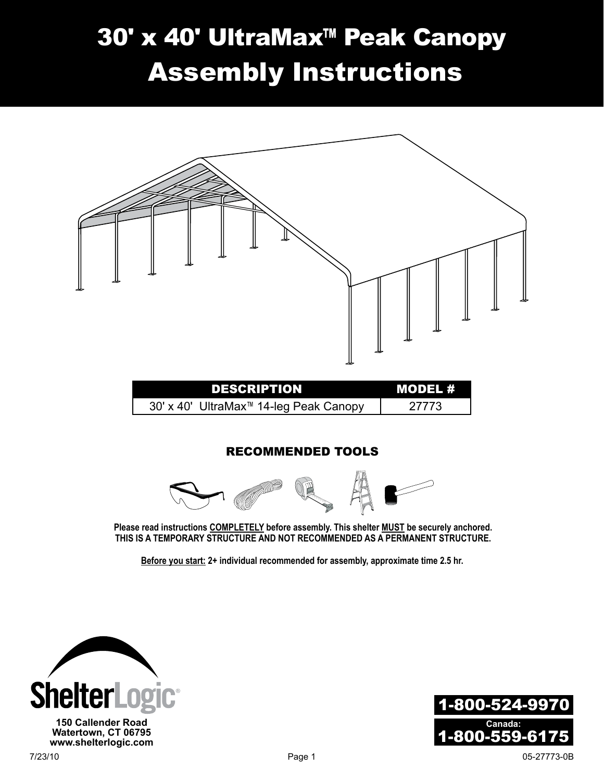# 30' x 40' UltraMax™ Peak Canopy Assembly Instructions



**Please read instructions COMPLETELY before assembly. This shelter MUST be securely anchored. THIS IS A TEMPORARY STRUCTURE AND NOT RECOMMENDED AS A PERMANENT STRUCTURE.**

**Before you start: 2+ individual recommended for assembly, approximate time 2.5 hr.**



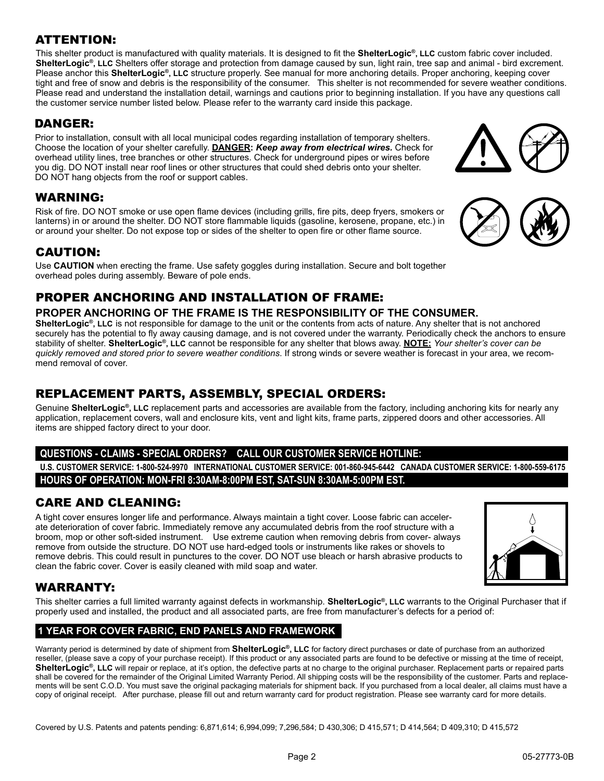#### ATTENTION:

This shelter product is manufactured with quality materials. It is designed to fit the **ShelterLogic®, LLC** custom fabric cover included. **ShelterLogic®, LLC** Shelters offer storage and protection from damage caused by sun, light rain, tree sap and animal - bird excrement. Please anchor this **ShelterLogic®, LLC** structure properly. See manual for more anchoring details. Proper anchoring, keeping cover tight and free of snow and debris is the responsibility of the consumer. This shelter is not recommended for severe weather conditions. Please read and understand the installation detail, warnings and cautions prior to beginning installation. If you have any questions call the customer service number listed below. Please refer to the warranty card inside this package.

#### DANGER:

Prior to installation, consult with all local municipal codes regarding installation of temporary shelters. Choose the location of your shelter carefully. **Danger:** *Keep away from electrical wires.* Check for overhead utility lines, tree branches or other structures. Check for underground pipes or wires before you dig. DO NOT install near roof lines or other structures that could shed debris onto your shelter. DO NOT hang objects from the roof or support cables.

#### WARNING:

Risk of fire. DO NOT smoke or use open flame devices (including grills, fire pits, deep fryers, smokers or lanterns) in or around the shelter. DO NOT store flammable liquids (gasoline, kerosene, propane, etc.) in or around your shelter. Do not expose top or sides of the shelter to open fire or other flame source.

#### CAUTION:

Use **CAUTION** when erecting the frame. Use safety goggles during installation. Secure and bolt together overhead poles during assembly. Beware of pole ends.

#### PROPER ANCHORING AND INSTALLATION OF FRAME:

#### **PROPER ANCHORING OF THE FRAME IS THE RESPONSIBILITY OF THE CONSUMER.**

**ShelterLogic®, LLC** is not responsible for damage to the unit or the contents from acts of nature. Any shelter that is not anchored securely has the potential to fly away causing damage, and is not covered under the warranty. Periodically check the anchors to ensure stability of shelter. **ShelterLogic®, LLC** cannot be responsible for any shelter that blows away. **NOTE:** *Your shelter's cover can be quickly removed and stored prior to severe weather conditions*. If strong winds or severe weather is forecast in your area, we recommend removal of cover.

#### REPLACEMENT PARTS, ASSEMBLY, SPECIAL ORDERS:

Genuine **ShelterLogic®, LLC** replacement parts and accessories are available from the factory, including anchoring kits for nearly any application, replacement covers, wall and enclosure kits, vent and light kits, frame parts, zippered doors and other accessories. All items are shipped factory direct to your door.

#### **Questions - claims - special orders? CALL our Customer Service Hotline:**

**U.S. CUSTOMER SERVICE: 1-800-524-9970 INTERNATIONAL CUSTOMER SERVICE: 001-860-945-6442 CANADA CUSTOMER SERVICE: 1-800-559-6175 HOURS OF OPERATION: MON-FRI 8:30AM-8:00PM EST, SAT-SUN 8:30AM-5:00PM EST.**

#### CARE AND CLEANING:

A tight cover ensures longer life and performance. Always maintain a tight cover. Loose fabric can accelerate deterioration of cover fabric. Immediately remove any accumulated debris from the roof structure with a broom, mop or other soft-sided instrument. Use extreme caution when removing debris from cover- always remove from outside the structure. DO NOT use hard-edged tools or instruments like rakes or shovels to remove debris. This could result in punctures to the cover. DO NOT use bleach or harsh abrasive products to clean the fabric cover. Cover is easily cleaned with mild soap and water.

# WARRANTY:

This shelter carries a full limited warranty against defects in workmanship. **ShelterLogic®, LLC** warrants to the Original Purchaser that if properly used and installed, the product and all associated parts, are free from manufacturer's defects for a period of:

#### **1 Year For Cover Fabric, End Panels and Framework**

Warranty period is determined by date of shipment from **ShelterLogic®, LLC** for factory direct purchases or date of purchase from an authorized reseller, (please save a copy of your purchase receipt). If this product or any associated parts are found to be defective or missing at the time of receipt, ShelterLogic<sup>®</sup>, LLC will repair or replace, at it's option, the defective parts at no charge to the original purchaser. Replacement parts or repaired parts shall be covered for the remainder of the Original Limited Warranty Period. All shipping costs will be the responsibility of the customer. Parts and replacements will be sent C.O.D. You must save the original packaging materials for shipment back. If you purchased from a local dealer, all claims must have a copy of original receipt. After purchase, please fill out and return warranty card for product registration. Please see warranty card for more details.

Covered by U.S. Patents and patents pending: 6,871,614; 6,994,099; 7,296,584; D 430,306; D 415,571; D 414,564; D 409,310; D 415,572







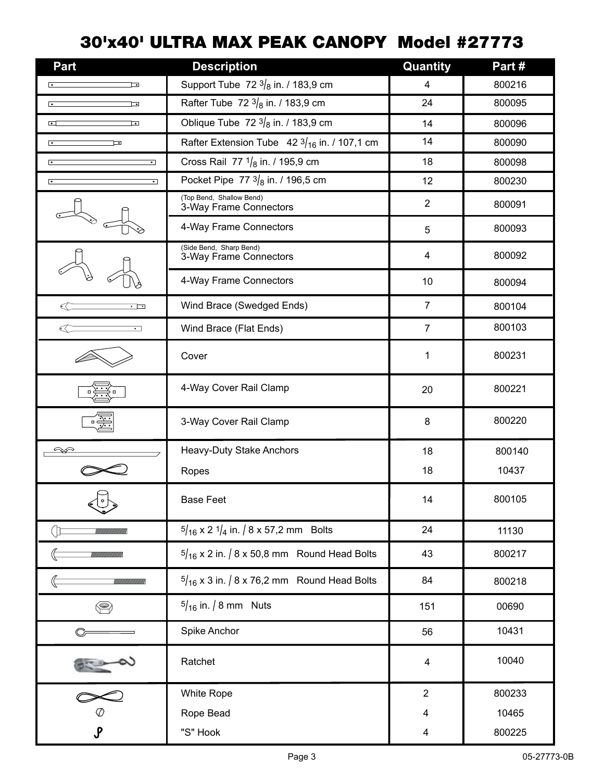# 30'x40' ULTRA MAX PEAK CANOPY Model #27773

| Part                                        | <b>Description</b>                                       | Quantity       | Part#  |
|---------------------------------------------|----------------------------------------------------------|----------------|--------|
| ⊡                                           | Support Tube 72 $3/8$ in. / 183,9 cm                     | 4              | 800216 |
| $\bullet$<br>⊡                              | Rafter Tube 72 $3/8$ in. / 183,9 cm                      | 24             | 800095 |
| 叵<br>⊡                                      | Oblique Tube 72 $3/8$ in. / 183,9 cm                     | 14             | 800096 |
| $\overline{\phantom{a}}$<br>⊒⊸              | Rafter Extension Tube $42\frac{3}{16}$ in. / 107,1 cm    | 14             | 800090 |
| $\overline{\cdot}$<br>$\bullet$             | Cross Rail 77 $1/8$ in. / 195,9 cm                       | 18             | 800098 |
| $\cdot$<br>⊺∘                               | Pocket Pipe 77 $3/8$ in. / 196,5 cm                      | 12             | 800230 |
|                                             | (Top Bend, Shallow Bend)<br>3-Way Frame Connectors       | $\overline{2}$ | 800091 |
|                                             | 4-Way Frame Connectors                                   | 5              | 800093 |
|                                             | (Side Bend, Sharp Bend)<br>3-Way Frame Connectors        | 4              | 800092 |
|                                             | 4-Way Frame Connectors                                   | $10$           | 800094 |
| $\overline{\cdot}$ $\overline{\phantom{0}}$ | Wind Brace (Swedged Ends)                                | $\overline{7}$ | 800104 |
| $\overline{\cdot}$ $\overline{\phantom{0}}$ | Wind Brace (Flat Ends)                                   | $\overline{7}$ | 800103 |
|                                             | Cover                                                    | 1              | 800231 |
|                                             | 4-Way Cover Rail Clamp                                   | 20             | 800221 |
|                                             | 3-Way Cover Rail Clamp                                   | 8              | 800220 |
|                                             | Heavy-Duty Stake Anchors                                 | 18             | 800140 |
|                                             | Ropes                                                    | 18             | 10437  |
|                                             | <b>Base Feet</b>                                         | 14             | 800105 |
|                                             | $\frac{5}{16}$ x 2 $\frac{1}{4}$ in. / 8 x 57,2 mm Bolts | 24             | 11130  |
|                                             | $\frac{5}{16}$ x 2 in. / 8 x 50,8 mm Round Head Bolts    | 43             | 800217 |
|                                             | $\frac{5}{16}$ x 3 in. / 8 x 76,2 mm Round Head Bolts    | 84             | 800218 |
| ❤                                           | $5/16$ in. / 8 mm Nuts                                   | 151            | 00690  |
|                                             | Spike Anchor                                             | 56             | 10431  |
|                                             | Ratchet                                                  | 4              | 10040  |
|                                             | White Rope                                               | $\overline{2}$ | 800233 |
|                                             | Rope Bead                                                | 4              | 10465  |
| $\mathcal{S}$                               | "S" Hook                                                 | 4              | 800225 |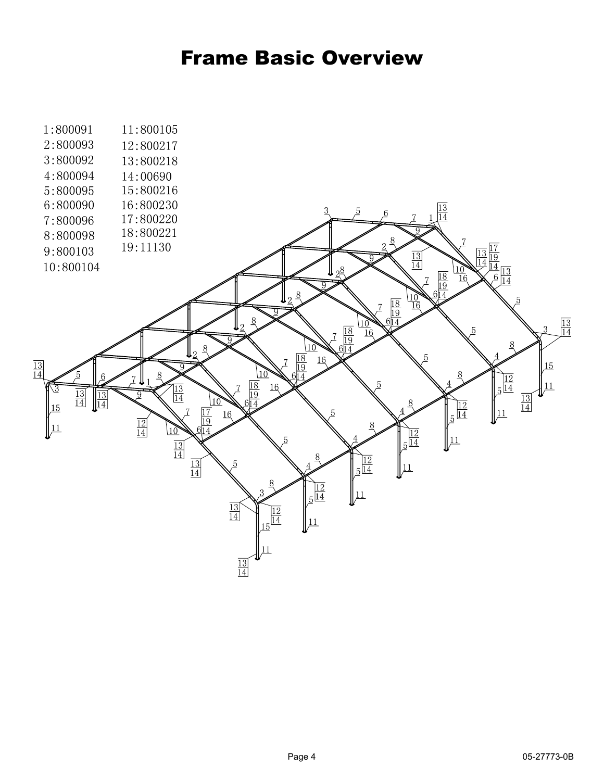# Frame Basic Overview

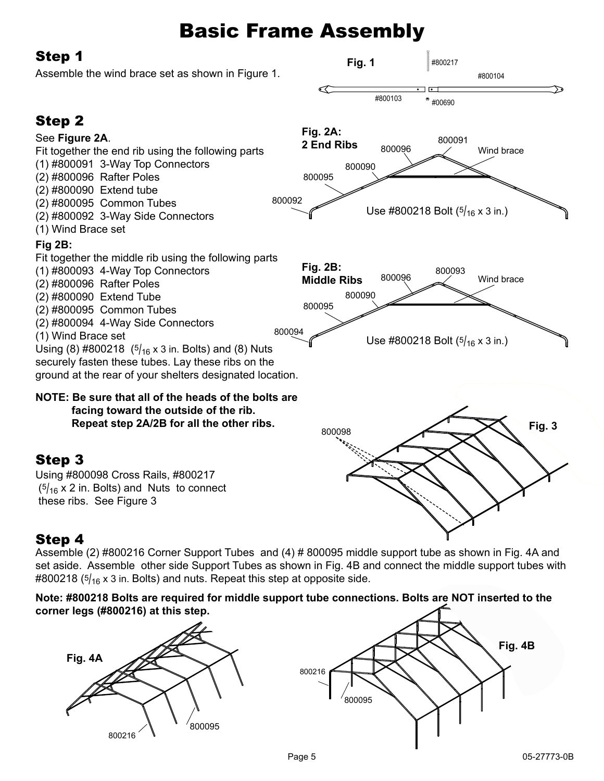# Basic Frame Assembly

**Fig. 1**

#800217

#800104

## Step 1

Assemble the wind brace set as shown in Figure 1.



## Step 4

Assemble (2) #800216 Corner Support Tubes and (4) # 800095 middle support tube as shown in Fig. 4A and set aside. Assemble other side Support Tubes as shown in Fig. 4B and connect the middle support tubes with  $\#800218$  ( $5/16$  x 3 in. Bolts) and nuts. Repeat this step at opposite side.

#### **Note: #800218 Bolts are required for middle support tube connections. Bolts are NOT inserted to the corner legs (#800216) at this step.**



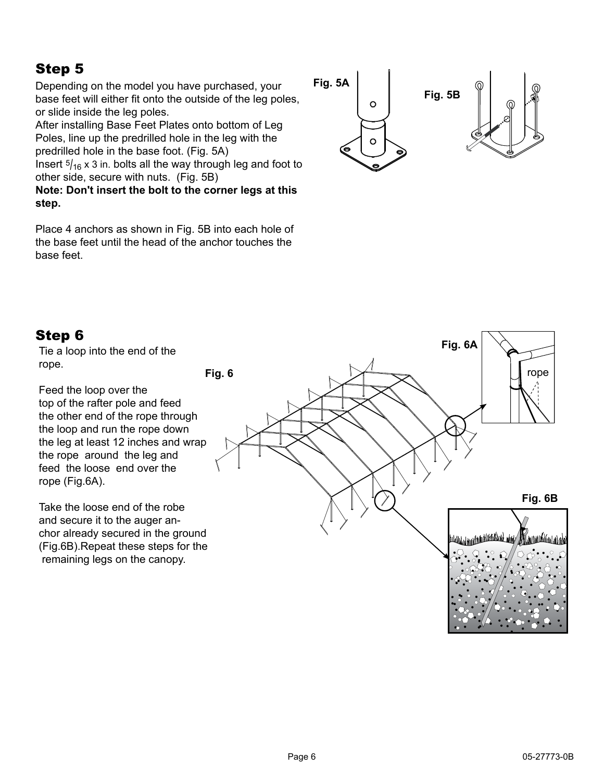## Step 5

Depending on the model you have purchased, your base feet will either fit onto the outside of the leg poles, or slide inside the leg poles.

After installing Base Feet Plates onto bottom of Leg Poles, line up the predrilled hole in the leg with the predrilled hole in the base foot. (Fig. 5A)

Insert  $\frac{5}{16}$  x 3 in. bolts all the way through leg and foot to other side, secure with nuts. (Fig. 5B)

**Note: Don't insert the bolt to the corner legs at this step.**

Place 4 anchors as shown in Fig. 5B into each hole of the base feet until the head of the anchor touches the base feet.



## Step 6

Tie a loop into the end of the rope.

Feed the loop over the top of the rafter pole and feed the other end of the rope through the loop and run the rope down the leg at least 12 inches and wrap the rope around the leg and feed the loose end over the rope (Fig.6A).

Take the loose end of the robe and secure it to the auger anchor already secured in the ground (Fig.6B).Repeat these steps for the remaining legs on the canopy.

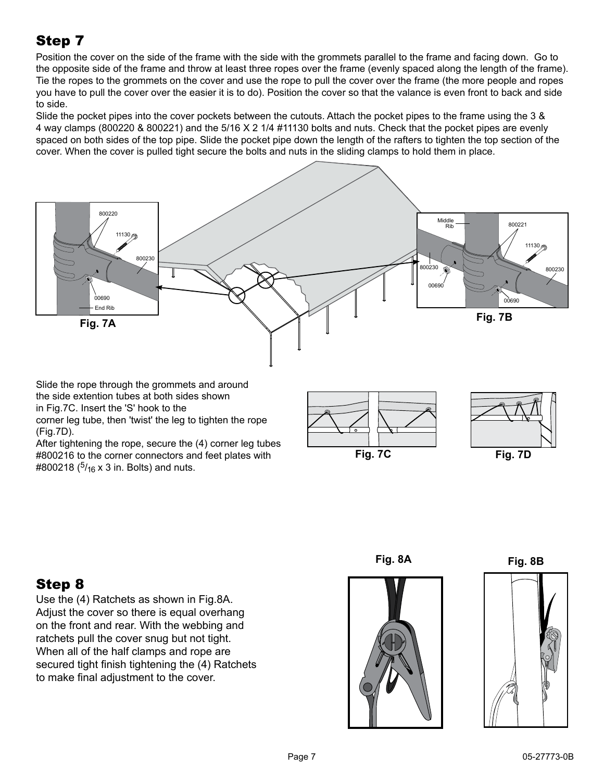# Step 7

Position the cover on the side of the frame with the side with the grommets parallel to the frame and facing down. Go to the opposite side of the frame and throw at least three ropes over the frame (evenly spaced along the length of the frame). Tie the ropes to the grommets on the cover and use the rope to pull the cover over the frame (the more people and ropes you have to pull the cover over the easier it is to do). Position the cover so that the valance is even front to back and side to side.

Slide the pocket pipes into the cover pockets between the cutouts. Attach the pocket pipes to the frame using the 3 & 4 way clamps (800220 & 800221) and the 5/16 X 2 1/4 #11130 bolts and nuts. Check that the pocket pipes are evenly spaced on both sides of the top pipe. Slide the pocket pipe down the length of the rafters to tighten the top section of the cover. When the cover is pulled tight secure the bolts and nuts in the sliding clamps to hold them in place.



Use the (4) Ratchets as shown in Fig.8A. Adjust the cover so there is equal overhang on the front and rear. With the webbing and ratchets pull the cover snug but not tight. When all of the half clamps and rope are secured tight finish tightening the (4) Ratchets

Step 8

to make final adjustment to the cover.





**Fig. 8A Fig. 8B**

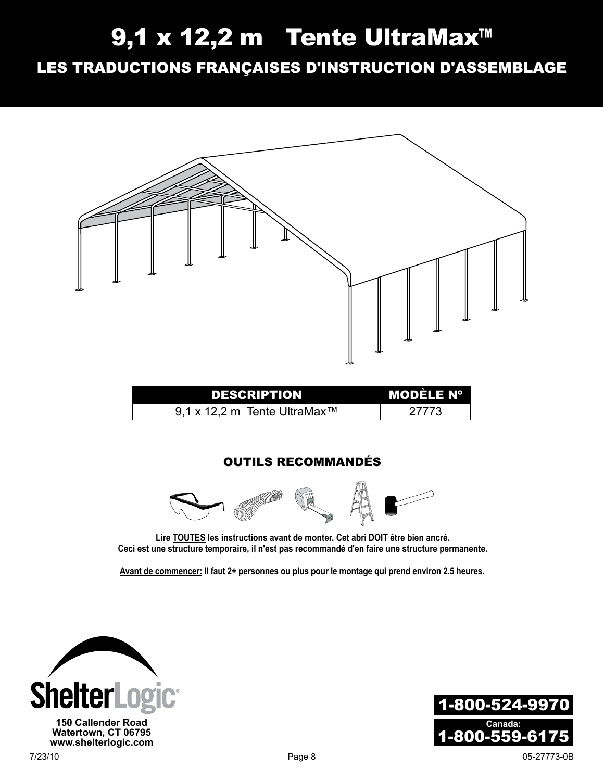# 9,1 x 12,2 m Tente UltraMax™

Les Traductions Françaises D'instruction D'assemblage



**Avant de commencer: Il faut 2+ personnes ou plus pour le montage qui prend environ 2.5 heures.**

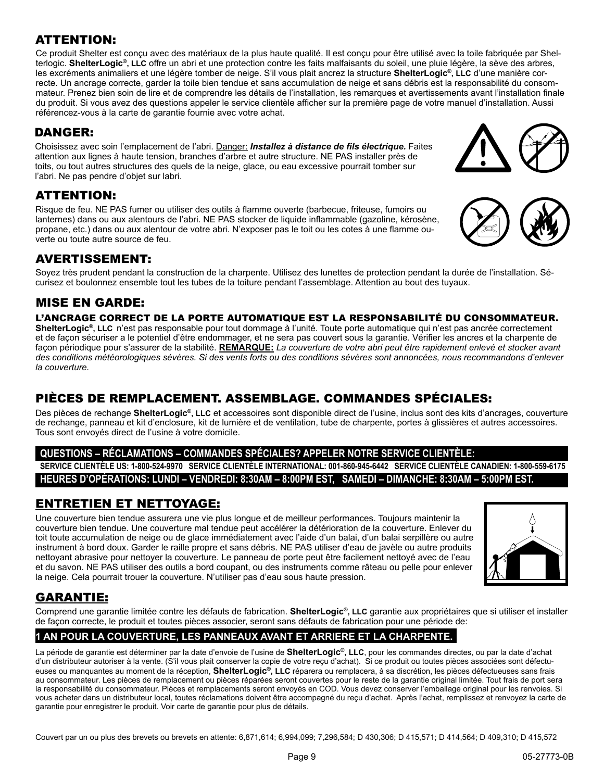#### ATTENTION:

Ce produit Shelter est conçu avec des matériaux de la plus haute qualité. Il est conçu pour être utilisé avec la toile fabriquée par Shelterlogic. **ShelterLogic®, LLC** offre un abri et une protection contre les faits malfaisants du soleil, une pluie légère, la sève des arbres, les excréments animaliers et une légère tomber de neige. S'il vous plait ancrez la structure **ShelterLogic®, LLC** d'une manière correcte. Un ancrage correcte, garder la toile bien tendue et sans accumulation de neige et sans débris est la responsabilité du consommateur. Prenez bien soin de lire et de comprendre les détails de l'installation, les remarques et avertissements avant l'installation finale du produit. Si vous avez des questions appeler le service clientèle afficher sur la première page de votre manuel d'installation. Aussi référencez-vous à la carte de garantie fournie avec votre achat.

#### DANGER:

Choisissez avec soin l'emplacement de l'abri. Danger: *Installez à distance de fils électrique.* Faites attention aux lignes à haute tension, branches d'arbre et autre structure. NE PAS installer près de toits, ou tout autres structures des quels de la neige, glace, ou eau excessive pourrait tomber sur l'abri. Ne pas pendre d'objet sur labri.

#### ATTENTION:

Risque de feu. NE PAS fumer ou utiliser des outils à flamme ouverte (barbecue, friteuse, fumoirs ou lanternes) dans ou aux alentours de l'abri. NE PAS stocker de liquide inflammable (gazoline, kérosène, propane, etc.) dans ou aux alentour de votre abri. N'exposer pas le toit ou les cotes à une flamme ouverte ou toute autre source de feu.

#### Avertissement:

Soyez très prudent pendant la construction de la charpente. Utilisez des lunettes de protection pendant la durée de l'installation. Sécurisez et boulonnez ensemble tout les tubes de la toiture pendant l'assemblage. Attention au bout des tuyaux.

#### MISE EN GARDE:

#### L'ancrage correct de la porte automatique est la responsabilité du consommateur.

**ShelterLogic®, LLC** n'est pas responsable pour tout dommage à l'unité. Toute porte automatique qui n'est pas ancrée correctement et de façon sécuriser a le potentiel d'être endommager, et ne sera pas couvert sous la garantie. Vérifier les ancres et la charpente de façon périodique pour s'assurer de la stabilité. **REMARQUE:** *La couverture de votre abri peut être rapidement enlevé et stocker avant des conditions météorologiques sévères. Si des vents forts ou des conditions sévères sont annoncées, nous recommandons d'enlever la couverture.* 

#### Pièces de remplacement. Assemblage. Commandes Spéciales:

Des pièces de rechange **ShelterLogic®, LLC** et accessoires sont disponible direct de l'usine, inclus sont des kits d'ancrages, couverture de rechange, panneau et kit d'enclosure, kit de lumière et de ventilation, tube de charpente, portes à glissières et autres accessoires. Tous sont envoyés direct de l'usine à votre domicile.

#### **Questions – Réclamations – Commandes spéciales? Appeler notre service clientèle:**

**Service clientèle US: 1-800-524-9970 Service clientèle international: 001-860-945-6442 Service Clientèle Canadien: 1-800-559-6175 Heures d'opérations: Lundi – Vendredi: 8:30am – 8:00pm EST, Samedi – Dimanche: 8:30am – 5:00pm EST.**

#### Entretien et nettoyage:

Une couverture bien tendue assurera une vie plus longue et de meilleur performances. Toujours maintenir la couverture bien tendue. Une couverture mal tendue peut accélérer la détérioration de la couverture. Enlever du toit toute accumulation de neige ou de glace immédiatement avec l'aide d'un balai, d'un balai serpillère ou autre instrument à bord doux. Garder le raille propre et sans débris. NE PAS utiliser d'eau de javèle ou autre produits nettoyant abrasive pour nettoyer la couverture. Le panneau de porte peut être facilement nettoyé avec de l'eau et du savon. NE PAS utiliser des outils a bord coupant, ou des instruments comme râteau ou pelle pour enlever la neige. Cela pourrait trouer la couverture. N'utiliser pas d'eau sous haute pression.



#### GARANTIE:

Comprend une garantie limitée contre les défauts de fabrication. **ShelterLogic®, LLC** garantie aux propriétaires que si utiliser et installer de façon correcte, le produit et toutes pièces associer, seront sans défauts de fabrication pour une période de:

#### **1 AN POUR LA COUVERTURE, LES PANNEAUX AVANT ET ARRIERE ET LA CHARPENTE.**

La période de garantie est déterminer par la date d'envoie de l'usine de **ShelterLogic®, LLC**, pour les commandes directes, ou par la date d'achat d'un distributeur autoriser à la vente. (S'il vous plait conserver la copie de votre reçu d'achat). Si ce produit ou toutes pièces associées sont défectueuses ou manquantes au moment de la réception, **ShelterLogic®, LLC** réparera ou remplacera, à sa discrétion, les pièces défectueuses sans frais au consommateur. Les pièces de remplacement ou pièces réparées seront couvertes pour le reste de la garantie original limitée. Tout frais de port sera la responsabilité du consommateur. Pièces et remplacements seront envoyés en COD. Vous devez conserver l'emballage original pour les renvoies. Si vous acheter dans un distributeur local, toutes réclamations doivent être accompagné du reçu d'achat. Après l'achat, remplissez et renvoyez la carte de garantie pour enregistrer le produit. Voir carte de garantie pour plus de détails.

Couvert par un ou plus des brevets ou brevets en attente: 6,871,614; 6,994,099; 7,296,584; D 430,306; D 415,571; D 414,564; D 409,310; D 415,572



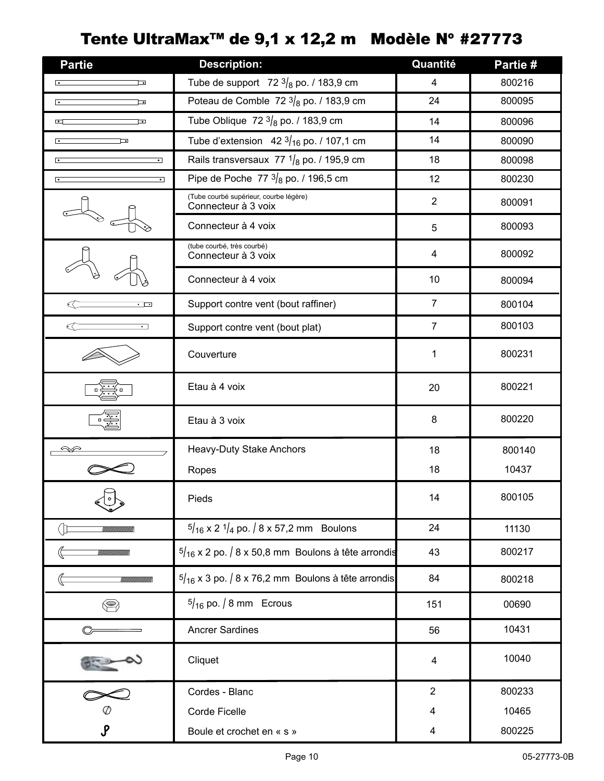# Tente UltraMax<sup>™</sup> de 9,1 x 12,2 m Modèle N° #27773

| <b>Partie</b>                    | <b>Description:</b>                                           | Quantité       | Partie # |
|----------------------------------|---------------------------------------------------------------|----------------|----------|
| $\bullet$<br>⊒⊸                  | Tube de support 72 $3/8$ po. / 183,9 cm                       | 4              | 800216   |
| $\overline{\cdot}$<br>⊡          | Poteau de Comble 72 $3/8$ po. / 183,9 cm                      | 24             | 800095   |
| ⊡<br>ত                           | Tube Oblique 72 $3/8$ po. / 183,9 cm                          | 14             | 800096   |
| $\overline{\phantom{a}}$<br>⊡    | Tube d'extension 42 $3/16$ po. / 107,1 cm                     | 14             | 800090   |
| $\overline{\cdot}$<br>⊡          | Rails transversaux 77 $1/8$ po. / 195,9 cm                    | 18             | 800098   |
| $\overline{\phantom{a}}$<br>⊺∘   | Pipe de Poche 77 $3/8$ po. / 196,5 cm                         | 12             | 800230   |
|                                  | (Tube courbé supérieur, courbe légère)<br>Connecteur à 3 voix | $\overline{2}$ | 800091   |
|                                  | Connecteur à 4 voix                                           | 5              | 800093   |
|                                  | (tube courbé, très courbé)<br>Connecteur à 3 voix             | 4              | 800092   |
|                                  | Connecteur à 4 voix                                           | 10             | 800094   |
| $\cdot$ $\overline{\phantom{a}}$ | Support contre vent (bout raffiner)                           | $\overline{7}$ | 800104   |
| $\cdot$ .                        | Support contre vent (bout plat)                               | $\overline{7}$ | 800103   |
|                                  | Couverture                                                    | 1              | 800231   |
|                                  | Etau à 4 voix                                                 | 20             | 800221   |
|                                  | Etau à 3 voix                                                 | 8              | 800220   |
|                                  | Heavy-Duty Stake Anchors                                      | 18             | 800140   |
|                                  | Ropes                                                         | 18             | 10437    |
|                                  | Pieds                                                         | 14             | 800105   |
|                                  | $\frac{5}{16}$ x 2 $\frac{1}{4}$ po. / 8 x 57,2 mm Boulons    | 24             | 11130    |
|                                  | $\frac{5}{16}$ x 2 po. / 8 x 50,8 mm Boulons à tête arrondis  | 43             | 800217   |
|                                  | $5/16$ x 3 po. / 8 x 76,2 mm Boulons à tête arrondis          | 84             | 800218   |
| ❤                                | $5/16$ po. / 8 mm Ecrous                                      | 151            | 00690    |
|                                  | <b>Ancrer Sardines</b>                                        | 56             | 10431    |
|                                  | Cliquet                                                       | 4              | 10040    |
|                                  | Cordes - Blanc                                                | $\overline{2}$ | 800233   |
|                                  | Corde Ficelle                                                 | 4              | 10465    |
| $\pmb{\mathcal{S}}$              | Boule et crochet en « s »                                     | 4              | 800225   |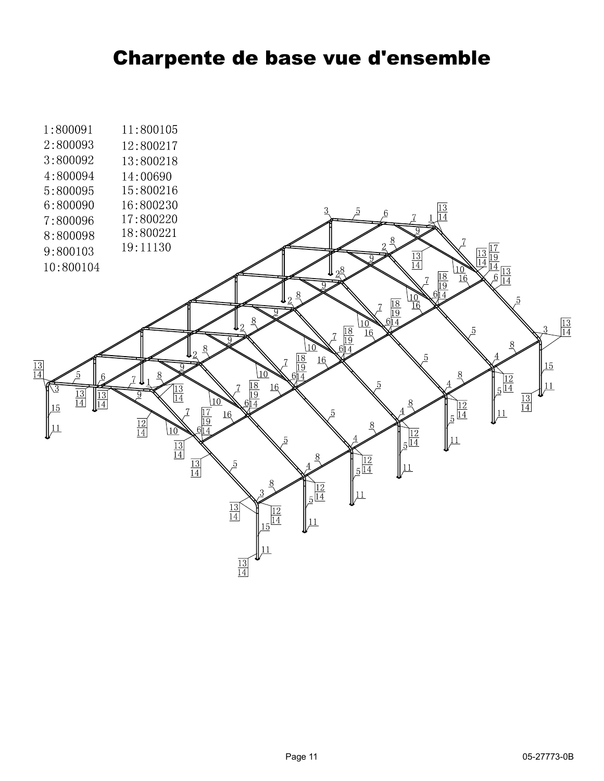# Charpente de base vue d'ensemble

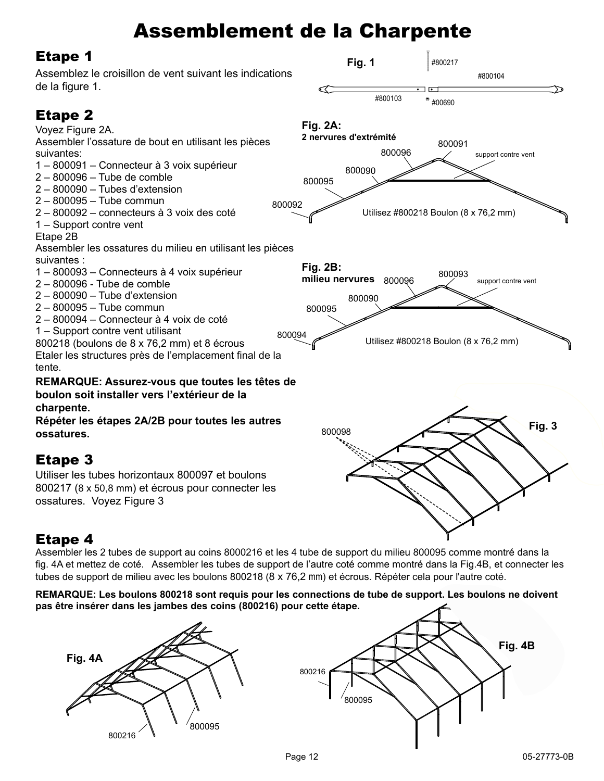# Assemblement de la Charpente

## Etape 1



## Etape 4

Assembler les 2 tubes de support au coins 8000216 et les 4 tube de support du milieu 800095 comme montré dans la fig. 4A et mettez de coté. Assembler les tubes de support de l'autre coté comme montré dans la Fig.4B, et connecter les tubes de support de milieu avec les boulons 800218 (8 x 76,2 mm) et écrous. Répéter cela pour l'autre coté.

#### **Remarque: Les boulons 800218 sont requis pour les connections de tube de support. Les boulons ne doivent pas être insérer dans les jambes des coins (800216) pour cette étape.**

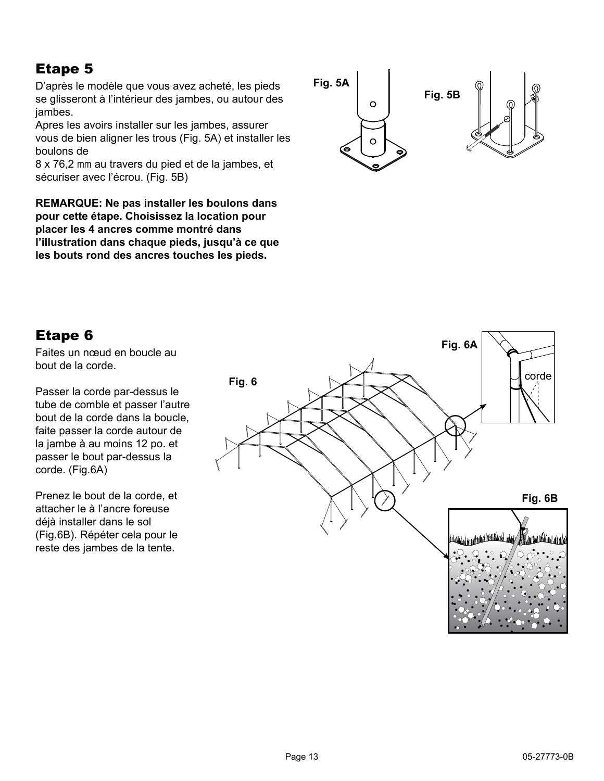## Etape 5

D'après le modèle que vous avez acheté, les pieds se glisseront à l'intérieur des jambes, ou autour des jambes.

Apres les avoirs installer sur les jambes, assurer vous de bien aligner les trous (Fig. 5A) et installer les boulons de

8 x 76,2 mm au travers du pied et de la jambes, et sécuriser avec l'écrou. (Fig. 5B)

**Remarque: Ne pas installer les boulons dans pour cette étape. Choisissez la location pour placer les 4 ancres comme montré dans l'illustration dans chaque pieds, jusqu'à ce que les bouts rond des ancres touches les pieds.**



## Etape 6

Faites un nœud en boucle au bout de la corde.

Passer la corde par-dessus le tube de comble et passer l'autre bout de la corde dans la boucle, faite passer la corde autour de la jambe à au moins 12 po. et passer le bout par-dessus la corde. (Fig.6A)

Prenez le bout de la corde, et attacher le à l'ancre foreuse déjà installer dans le sol (Fig.6B). Répéter cela pour le reste des jambes de la tente.